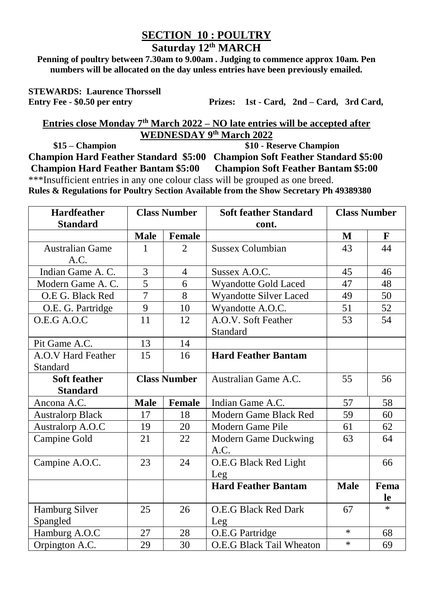## **SECTION 10 : POULTRY Saturday 12th MARCH**

**Penning of poultry between 7.30am to 9.00am . Judging to commence approx 10am. Pen numbers will be allocated on the day unless entries have been previously emailed.**

**STEWARDS: Laurence Thorssell**

**Entry Fee - \$0.50 per entry Prizes: 1st - Card, 2nd – Card, 3rd Card,** 

**Entries close Monday 7 th March 2022 – NO late entries will be accepted after WEDNESDAY 9 th March 2022**

 **\$15 – Champion \$10 - Reserve Champion Champion Hard Feather Standard \$5:00 Champion Soft Feather Standard \$5:00 Champion Hard Feather Bantam \$5:00 Champion Soft Feather Bantam \$5:00** \*\*\*Insufficient entries in any one colour class will be grouped as one breed.

**Rules & Regulations for Poultry Section Available from the Show Secretary Ph 49389380**

| <b>Hardfeather</b>      | <b>Class Number</b> |                             | <b>Soft feather Standard</b> | <b>Class Number</b> |             |
|-------------------------|---------------------|-----------------------------|------------------------------|---------------------|-------------|
| <b>Standard</b>         |                     |                             | cont.                        |                     |             |
|                         | <b>Male</b>         | Female                      |                              | M                   | $\mathbf F$ |
| <b>Australian Game</b>  | 1                   | $\mathcal{D}_{\mathcal{L}}$ | <b>Sussex Columbian</b>      | 43                  | 44          |
| A.C.                    |                     |                             |                              |                     |             |
| Indian Game A. C.       | $\overline{3}$      | $\overline{4}$              | Sussex A.O.C.                | 45                  | 46          |
| Modern Game A. C.       | $\overline{5}$      | 6                           | <b>Wyandotte Gold Laced</b>  | 47                  | 48          |
| O.E G. Black Red        | $\overline{7}$      | 8                           | Wyandotte Silver Laced       | 49                  | 50          |
| O.E. G. Partridge       | 9                   | 10                          | Wyandotte A.O.C.             | 51                  | 52          |
| O.E.G A.O.C             | 11                  | 12                          | A.O.V. Soft Feather          | 53                  | 54          |
|                         |                     |                             | Standard                     |                     |             |
| Pit Game A.C.           | 13                  | 14                          |                              |                     |             |
| A.O.V Hard Feather      | 15                  | 16                          | <b>Hard Feather Bantam</b>   |                     |             |
| Standard                |                     |                             |                              |                     |             |
| Soft feather            | <b>Class Number</b> |                             | Australian Game A.C.         | 55                  | 56          |
| <b>Standard</b>         |                     |                             |                              |                     |             |
| Ancona A.C.             | <b>Male</b>         | Female                      | Indian Game A.C.             | 57                  | 58          |
| <b>Australorp Black</b> | 17                  | 18                          | Modern Game Black Red        | 59                  | 60          |
| Australorp A.O.C        | 19                  | 20                          | Modern Game Pile             | 61                  | 62          |
| Campine Gold            | 21                  | 22                          | Modern Game Duckwing         | 63                  | 64          |
|                         |                     |                             | A.C.                         |                     |             |
| Campine A.O.C.          | 23                  | 24                          | O.E.G Black Red Light        |                     | 66          |
|                         |                     |                             | Leg                          |                     |             |
|                         |                     |                             | <b>Hard Feather Bantam</b>   | <b>Male</b>         | Fema        |
|                         |                     |                             |                              |                     | le          |
| Hamburg Silver          | 25                  | 26                          | O.E.G Black Red Dark         | 67                  | $\ast$      |
| Spangled                |                     |                             | Leg                          |                     |             |
| Hamburg A.O.C           | 27                  | 28                          | O.E.G Partridge              | $\ast$              | 68          |
| Orpington A.C.          | 29                  | 30                          | O.E.G Black Tail Wheaton     | $\ast$              | 69          |